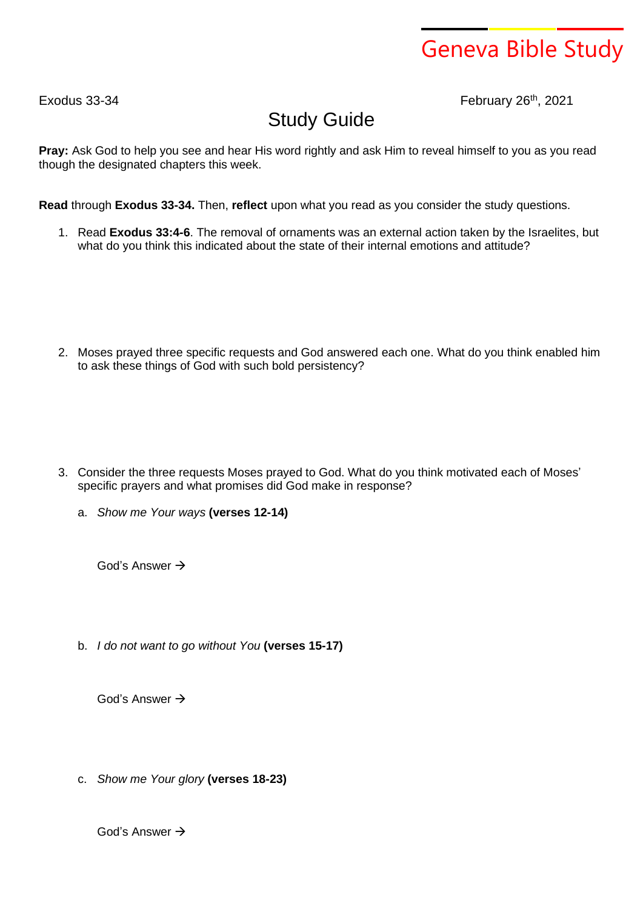## Geneva Bible Study

Exodus 33-34 February 26<sup>th</sup>, 2021

## Study Guide

**Pray:** Ask God to help you see and hear His word rightly and ask Him to reveal himself to you as you read though the designated chapters this week.

**Read** through **Exodus 33-34.** Then, **reflect** upon what you read as you consider the study questions.

1. Read **Exodus 33:4-6**. The removal of ornaments was an external action taken by the Israelites, but what do you think this indicated about the state of their internal emotions and attitude?

2. Moses prayed three specific requests and God answered each one. What do you think enabled him to ask these things of God with such bold persistency?

- 3. Consider the three requests Moses prayed to God. What do you think motivated each of Moses' specific prayers and what promises did God make in response?
	- a. *Show me Your ways* **(verses 12-14)**

God's Answer →

b. *I do not want to go without You* **(verses 15-17)**

God's Answer →

c. *Show me Your glory* **(verses 18-23)**

God's Answer →